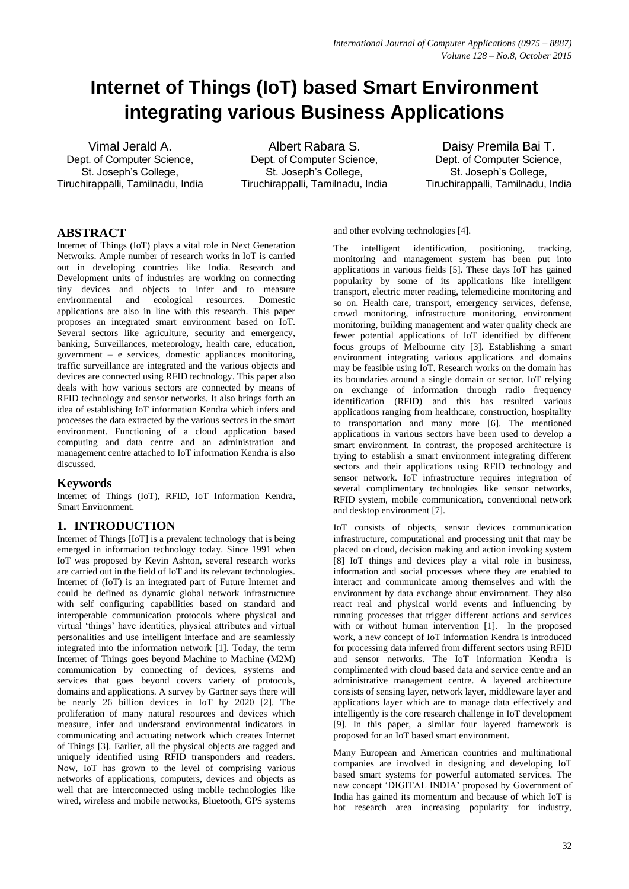# **Internet of Things (IoT) based Smart Environment integrating various Business Applications**

Vimal Jerald A. Dept. of Computer Science, St. Joseph's College, Tiruchirappalli, Tamilnadu, India

Albert Rabara S. Dept. of Computer Science. St. Joseph's College, Tiruchirappalli, Tamilnadu, India

Daisy Premila Bai T. Dept. of Computer Science, St. Joseph's College, Tiruchirappalli, Tamilnadu, India

# **ABSTRACT**

Internet of Things (IoT) plays a vital role in Next Generation Networks. Ample number of research works in IoT is carried out in developing countries like India. Research and Development units of industries are working on connecting tiny devices and objects to infer and to measure environmental and ecological resources. Domestic applications are also in line with this research. This paper proposes an integrated smart environment based on IoT. Several sectors like agriculture, security and emergency, banking, Surveillances, meteorology, health care, education, government – e services, domestic appliances monitoring, traffic surveillance are integrated and the various objects and devices are connected using RFID technology. This paper also deals with how various sectors are connected by means of RFID technology and sensor networks. It also brings forth an idea of establishing IoT information Kendra which infers and processes the data extracted by the various sectors in the smart environment. Functioning of a cloud application based computing and data centre and an administration and management centre attached to IoT information Kendra is also discussed.

#### **Keywords**

Internet of Things (IoT), RFID, IoT Information Kendra, Smart Environment.

## **1. INTRODUCTION**

Internet of Things [IoT] is a prevalent technology that is being emerged in information technology today. Since 1991 when IoT was proposed by Kevin Ashton, several research works are carried out in the field of IoT and its relevant technologies. Internet of (IoT) is an integrated part of Future Internet and could be defined as dynamic global network infrastructure with self configuring capabilities based on standard and interoperable communication protocols where physical and virtual 'things' have identities, physical attributes and virtual personalities and use intelligent interface and are seamlessly integrated into the information network [1]. Today, the term Internet of Things goes beyond Machine to Machine (M2M) communication by connecting of devices, systems and services that goes beyond covers variety of protocols, domains and applications. A survey by Gartner says there will be nearly 26 billion devices in IoT by 2020 [2]. The proliferation of many natural resources and devices which measure, infer and understand environmental indicators in communicating and actuating network which creates Internet of Things [3]. Earlier, all the physical objects are tagged and uniquely identified using RFID transponders and readers. Now, IoT has grown to the level of comprising various networks of applications, computers, devices and objects as well that are interconnected using mobile technologies like wired, wireless and mobile networks, Bluetooth, GPS systems and other evolving technologies [4].

The intelligent identification, positioning, tracking, monitoring and management system has been put into applications in various fields [5]. These days IoT has gained popularity by some of its applications like intelligent transport, electric meter reading, telemedicine monitoring and so on. Health care, transport, emergency services, defense, crowd monitoring, infrastructure monitoring, environment monitoring, building management and water quality check are fewer potential applications of IoT identified by different focus groups of Melbourne city [3]. Establishing a smart environment integrating various applications and domains may be feasible using IoT. Research works on the domain has its boundaries around a single domain or sector. IoT relying on exchange of information through radio frequency identification (RFID) and this has resulted various applications ranging from healthcare, construction, hospitality to transportation and many more [6]. The mentioned applications in various sectors have been used to develop a smart environment. In contrast, the proposed architecture is trying to establish a smart environment integrating different sectors and their applications using RFID technology and sensor network. IoT infrastructure requires integration of several complimentary technologies like sensor networks, RFID system, mobile communication, conventional network and desktop environment [7].

IoT consists of objects, sensor devices communication infrastructure, computational and processing unit that may be placed on cloud, decision making and action invoking system [8] IoT things and devices play a vital role in business, information and social processes where they are enabled to interact and communicate among themselves and with the environment by data exchange about environment. They also react real and physical world events and influencing by running processes that trigger different actions and services with or without human intervention [1]. In the proposed work, a new concept of IoT information Kendra is introduced for processing data inferred from different sectors using RFID and sensor networks. The IoT information Kendra is complimented with cloud based data and service centre and an administrative management centre. A layered architecture consists of sensing layer, network layer, middleware layer and applications layer which are to manage data effectively and intelligently is the core research challenge in IoT development [9]. In this paper, a similar four layered framework is proposed for an IoT based smart environment.

Many European and American countries and multinational companies are involved in designing and developing IoT based smart systems for powerful automated services. The new concept 'DIGITAL INDIA' proposed by Government of India has gained its momentum and because of which IoT is hot research area increasing popularity for industry,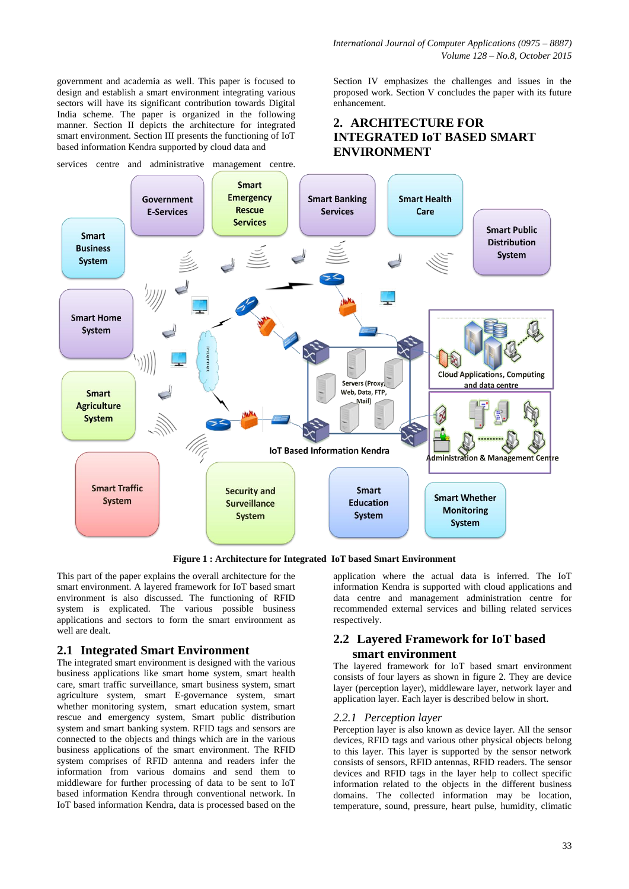government and academia as well. This paper is focused to design and establish a smart environment integrating various sectors will have its significant contribution towards Digital India scheme. The paper is organized in the following manner. Section II depicts the architecture for integrated smart environment. Section III presents the functioning of IoT based information Kendra supported by cloud data and

services centre and administrative management centre.

Section IV emphasizes the challenges and issues in the proposed work. Section V concludes the paper with its future enhancement.

# **2. ARCHITECTURE FOR INTEGRATED IoT BASED SMART ENVIRONMENT**



**Figure 1 : Architecture for Integrated IoT based Smart Environment**

This part of the paper explains the overall architecture for the smart environment. A layered framework for IoT based smart environment is also discussed. The functioning of RFID system is explicated. The various possible business applications and sectors to form the smart environment as well are dealt.

#### **2.1 Integrated Smart Environment**

The integrated smart environment is designed with the various business applications like smart home system, smart health care, smart traffic surveillance, smart business system, smart agriculture system, smart E-governance system, smart whether monitoring system, smart education system, smart rescue and emergency system, Smart public distribution system and smart banking system. RFID tags and sensors are connected to the objects and things which are in the various business applications of the smart environment. The RFID system comprises of RFID antenna and readers infer the information from various domains and send them to middleware for further processing of data to be sent to IoT based information Kendra through conventional network. In IoT based information Kendra, data is processed based on the

application where the actual data is inferred. The IoT information Kendra is supported with cloud applications and data centre and management administration centre for recommended external services and billing related services respectively.

## **2.2 Layered Framework for IoT based smart environment**

The layered framework for IoT based smart environment consists of four layers as shown in figure 2. They are device layer (perception layer), middleware layer, network layer and application layer. Each layer is described below in short.

#### *2.2.1 Perception layer*

Perception layer is also known as device layer. All the sensor devices, RFID tags and various other physical objects belong to this layer. This layer is supported by the sensor network consists of sensors, RFID antennas, RFID readers. The sensor devices and RFID tags in the layer help to collect specific information related to the objects in the different business domains. The collected information may be location, temperature, sound, pressure, heart pulse, humidity, climatic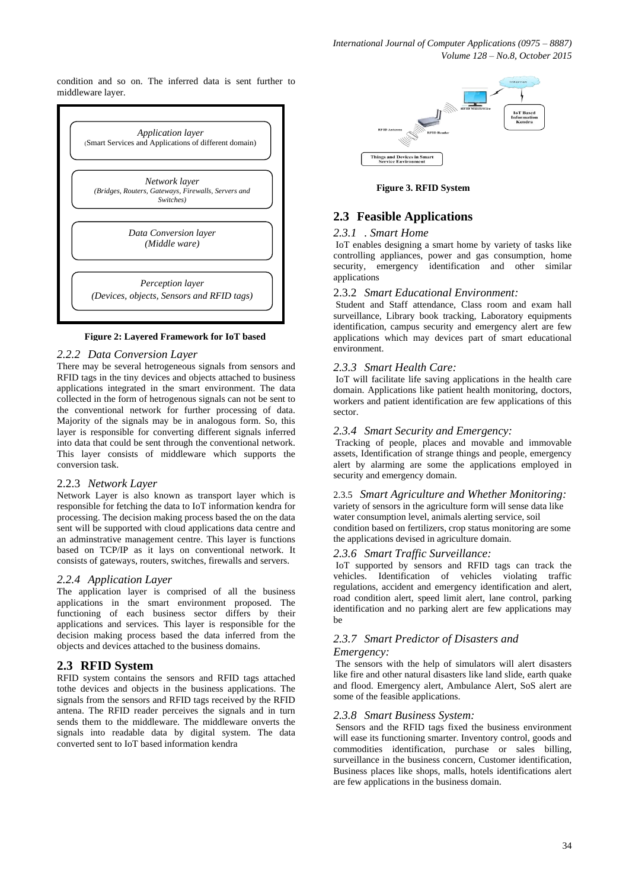condition and so on. The inferred data is sent further to middleware layer.



#### **Figure 2: Layered Framework for IoT based**

# 2.2.2 Data Conversion Layer

There may be several hetrogeneous signals from sensors and RFID tags in the tiny devices and objects attached to business applications integrated in the smart environment. The data collected in the form of hetrogenous signals can not be sent to the conventional network for further processing of data. Majority of the signals may be in analogous form. So, this layer is responsible for converting different signals inferred into data that could be sent through the conventional network. This layer consists of middleware which supports the conversion task.

#### 2.2.3 *Network Layer*

Network Layer is also known as transport layer which is responsible for fetching the data to IoT information kendra for processing. The decision making process based the on the data sent will be supported with cloud applications data centre and an adminstrative management centre. This layer is functions based on TCP/IP as it lays on conventional network. It consists of gateways, routers, switches, firewalls and servers.

#### *2.2.4 Application Layer*

The application layer is comprised of all the business applications in the smart environment proposed. The functioning of each business sector differs by their applications and services. This layer is responsible for the decision making process based the data inferred from the objects and devices attached to the business domains.

#### **2.3 RFID System**

RFID system contains the sensors and RFID tags attached tothe devices and objects in the business applications. The signals from the sensors and RFID tags received by the RFID antena. The RFID reader perceives the signals and in turn sends them to the middleware. The middleware onverts the signals into readable data by digital system. The data converted sent to IoT based information kendra



**Figure 3. RFID System**

### **2.3 Feasible Applications**

#### *2.3.1 . Smart Home*

IoT enables designing a smart home by variety of tasks like controlling appliances, power and gas consumption, home security, emergency identification and other similar applications

#### 2.3.2 *Smart Educational Environment:*

Student and Staff attendance, Class room and exam hall surveillance, Library book tracking, Laboratory equipments identification, campus security and emergency alert are few applications which may devices part of smart educational environment.

#### *2.3.3 Smart Health Care:*

IoT will facilitate life saving applications in the health care domain. Applications like patient health monitoring, doctors, workers and patient identification are few applications of this sector.

#### *2.3.4 Smart Security and Emergency:*

Tracking of people, places and movable and immovable assets, Identification of strange things and people, emergency alert by alarming are some the applications employed in security and emergency domain.

#### 2.3.5 *Smart Agriculture and Whether Monitoring:*

variety of sensors in the agriculture form will sense data like water consumption level, animals alerting service, soil condition based on fertilizers, crop status monitoring are some the applications devised in agriculture domain.

#### *2.3.6 Smart Traffic Surveillance:*

IoT supported by sensors and RFID tags can track the vehicles. Identification of vehicles violating traffic regulations, accident and emergency identification and alert, road condition alert, speed limit alert, lane control, parking identification and no parking alert are few applications may be

#### *2.3.7 Smart Predictor of Disasters and Emergency:*

The sensors with the help of simulators will alert disasters like fire and other natural disasters like land slide, earth quake and flood. Emergency alert, Ambulance Alert, SoS alert are some of the feasible applications.

#### *2.3.8 Smart Business System:*

Sensors and the RFID tags fixed the business environment will ease its functioning smarter. Inventory control, goods and commodities identification, purchase or sales billing, surveillance in the business concern, Customer identification, Business places like shops, malls, hotels identifications alert are few applications in the business domain.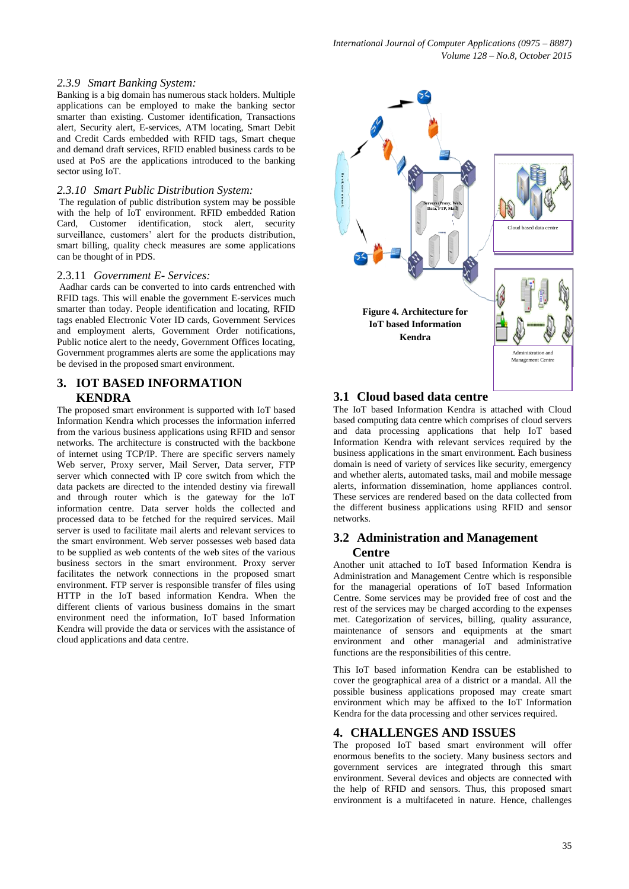#### *2.3.9 Smart Banking System:*

Banking is a big domain has numerous stack holders. Multiple applications can be employed to make the banking sector smarter than existing. Customer identification, Transactions alert, Security alert, E-services, ATM locating, Smart Debit and Credit Cards embedded with RFID tags, Smart cheque and demand draft services, RFID enabled business cards to be used at PoS are the applications introduced to the banking sector using IoT.

#### *2.3.10 Smart Public Distribution System:*

The regulation of public distribution system may be possible with the help of IoT environment. RFID embedded Ration Card, Customer identification, stock alert, security surveillance, customers' alert for the products distribution, smart billing, quality check measures are some applications can be thought of in PDS.

#### 2.3.11 *Government E- Services:*

Aadhar cards can be converted to into cards entrenched with RFID tags. This will enable the government E-services much smarter than today. People identification and locating, RFID tags enabled Electronic Voter ID cards, Government Services and employment alerts, Government Order notifications, Public notice alert to the needy, Government Offices locating, Government programmes alerts are some the applications may be devised in the proposed smart environment.

# **3. IOT BASED INFORMATION KENDRA**

The proposed smart environment is supported with IoT based Information Kendra which processes the information inferred from the various business applications using RFID and sensor networks. The architecture is constructed with the backbone of internet using TCP/IP. There are specific servers namely Web server, Proxy server, Mail Server, Data server, FTP server which connected with IP core switch from which the data packets are directed to the intended destiny via firewall and through router which is the gateway for the IoT information centre. Data server holds the collected and processed data to be fetched for the required services. Mail server is used to facilitate mail alerts and relevant services to the smart environment. Web server possesses web based data to be supplied as web contents of the web sites of the various business sectors in the smart environment. Proxy server facilitates the network connections in the proposed smart environment. FTP server is responsible transfer of files using HTTP in the IoT based information Kendra. When the different clients of various business domains in the smart environment need the information, IoT based Information Kendra will provide the data or services with the assistance of cloud applications and data centre.



# **3.1 Cloud based data centre**

The IoT based Information Kendra is attached with Cloud based computing data centre which comprises of cloud servers and data processing applications that help IoT based Information Kendra with relevant services required by the business applications in the smart environment. Each business domain is need of variety of services like security, emergency and whether alerts, automated tasks, mail and mobile message alerts, information dissemination, home appliances control. These services are rendered based on the data collected from the different business applications using RFID and sensor networks.

### **3.2 Administration and Management Centre**

Another unit attached to IoT based Information Kendra is Administration and Management Centre which is responsible for the managerial operations of IoT based Information Centre. Some services may be provided free of cost and the rest of the services may be charged according to the expenses met. Categorization of services, billing, quality assurance, maintenance of sensors and equipments at the smart environment and other managerial and administrative functions are the responsibilities of this centre.

This IoT based information Kendra can be established to cover the geographical area of a district or a mandal. All the possible business applications proposed may create smart environment which may be affixed to the IoT Information Kendra for the data processing and other services required.

## **4. CHALLENGES AND ISSUES**

The proposed IoT based smart environment will offer enormous benefits to the society. Many business sectors and government services are integrated through this smart environment. Several devices and objects are connected with the help of RFID and sensors. Thus, this proposed smart environment is a multifaceted in nature. Hence, challenges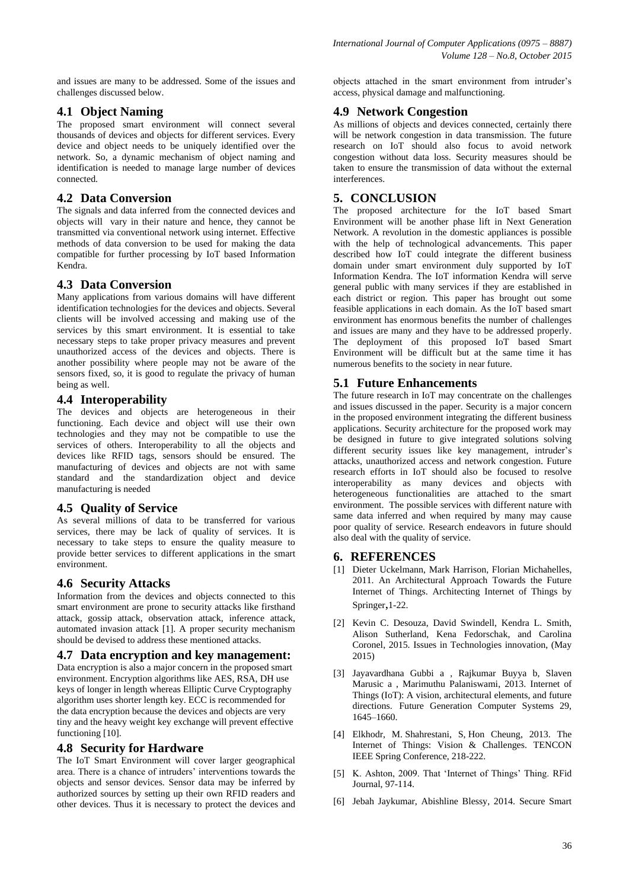and issues are many to be addressed. Some of the issues and challenges discussed below.

# **4.1 Object Naming**

The proposed smart environment will connect several thousands of devices and objects for different services. Every device and object needs to be uniquely identified over the network. So, a dynamic mechanism of object naming and identification is needed to manage large number of devices connected.

# **4.2 Data Conversion**

The signals and data inferred from the connected devices and objects will vary in their nature and hence, they cannot be transmitted via conventional network using internet. Effective methods of data conversion to be used for making the data compatible for further processing by IoT based Information Kendra.

# **4.3 Data Conversion**

Many applications from various domains will have different identification technologies for the devices and objects. Several clients will be involved accessing and making use of the services by this smart environment. It is essential to take necessary steps to take proper privacy measures and prevent unauthorized access of the devices and objects. There is another possibility where people may not be aware of the sensors fixed, so, it is good to regulate the privacy of human being as well.

# **4.4 Interoperability**

The devices and objects are heterogeneous in their functioning. Each device and object will use their own technologies and they may not be compatible to use the services of others. Interoperability to all the objects and devices like RFID tags, sensors should be ensured. The manufacturing of devices and objects are not with same standard and the standardization object and device manufacturing is needed

# **4.5 Quality of Service**

As several millions of data to be transferred for various services, there may be lack of quality of services. It is necessary to take steps to ensure the quality measure to provide better services to different applications in the smart environment.

# **4.6 Security Attacks**

Information from the devices and objects connected to this smart environment are prone to security attacks like firsthand attack, gossip attack, observation attack, inference attack, automated invasion attack [1]. A proper security mechanism should be devised to address these mentioned attacks.

## **4.7 Data encryption and key management:**

Data encryption is also a major concern in the proposed smart environment. Encryption algorithms like AES, RSA, DH use keys of longer in length whereas Elliptic Curve Cryptography algorithm uses shorter length key. ECC is recommended for the data encryption because the devices and objects are very tiny and the heavy weight key exchange will prevent effective functioning [10].

# **4.8 Security for Hardware**

The IoT Smart Environment will cover larger geographical area. There is a chance of intruders' interventions towards the objects and sensor devices. Sensor data may be inferred by authorized sources by setting up their own RFID readers and other devices. Thus it is necessary to protect the devices and objects attached in the smart environment from intruder's access, physical damage and malfunctioning.

# **4.9 Network Congestion**

As millions of objects and devices connected, certainly there will be network congestion in data transmission. The future research on IoT should also focus to avoid network congestion without data loss. Security measures should be taken to ensure the transmission of data without the external interferences.

# **5. CONCLUSION**

The proposed architecture for the IoT based Smart Environment will be another phase lift in Next Generation Network. A revolution in the domestic appliances is possible with the help of technological advancements. This paper described how IoT could integrate the different business domain under smart environment duly supported by IoT Information Kendra. The IoT information Kendra will serve general public with many services if they are established in each district or region. This paper has brought out some feasible applications in each domain. As the IoT based smart environment has enormous benefits the number of challenges and issues are many and they have to be addressed properly. The deployment of this proposed IoT based Smart Environment will be difficult but at the same time it has numerous benefits to the society in near future.

# **5.1 Future Enhancements**

The future research in IoT may concentrate on the challenges and issues discussed in the paper. Security is a major concern in the proposed environment integrating the different business applications. Security architecture for the proposed work may be designed in future to give integrated solutions solving different security issues like key management, intruder's attacks, unauthorized access and network congestion. Future research efforts in IoT should also be focused to resolve interoperability as many devices and objects with heterogeneous functionalities are attached to the smart environment. The possible services with different nature with same data inferred and when required by many may cause poor quality of service. Research endeavors in future should also deal with the quality of service.

## **6. REFERENCES**

- [1] Dieter Uckelmann, Mark Harrison, Florian Michahelles, 2011. An Architectural Approach Towards the Future Internet of Things. Architecting Internet of Things by Springer,1-22.
- [2] Kevin C. Desouza, David Swindell, Kendra L. Smith, Alison Sutherland, Kena Fedorschak, and Carolina Coronel, 2015. Issues in Technologies innovation, (May 2015)
- [3] Jayavardhana Gubbi a , Rajkumar Buyya b, Slaven Marusic a , Marimuthu Palaniswami, 2013. Internet of Things (IoT): A vision, architectural elements, and future directions. Future Generation Computer Systems 29, 1645–1660.
- [4] [Elkhodr, M.](http://ieeexplore.ieee.org/search/searchresult.jsp?searchWithin=%22Authors%22:.QT.Elkhodr,%20M..QT.&newsearch=true) [Shahrestani, S,](http://ieeexplore.ieee.org/search/searchresult.jsp?searchWithin=%22Authors%22:.QT.Shahrestani,%20S..QT.&newsearch=true) [Hon Cheung,](http://ieeexplore.ieee.org/search/searchresult.jsp?searchWithin=%22Authors%22:.QT.Hon%20Cheung.QT.&newsearch=true) 2013. The Internet of Things: Vision & Challenges. [TENCON](http://ieeexplore.ieee.org/xpl/mostRecentIssue.jsp?punumber=6578010)  [IEEE Spring Conference, 218-222.](http://ieeexplore.ieee.org/xpl/mostRecentIssue.jsp?punumber=6578010)
- [5] K. Ashton, 2009. That 'Internet of Things' Thing. RFid Journal, 97-114.
- [6] Jebah Jaykumar, Abishline Blessy, 2014. Secure Smart